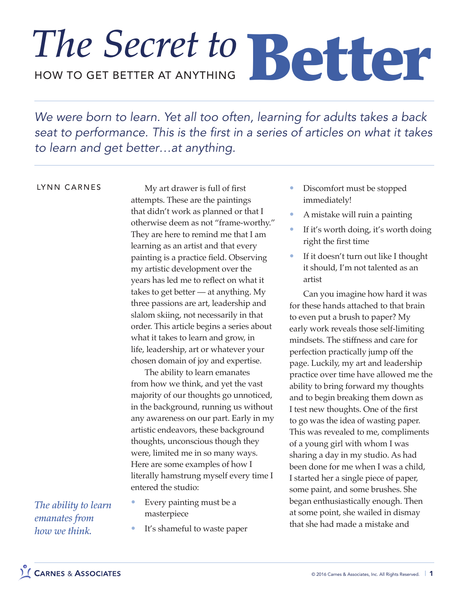## HOW TO GET BETTER AT ANYTHING The Secret to Better

*We were born to learn. Yet all too often, learning for adults takes a back seat to performance. This is the first in a series of articles on what it takes to learn and get better…at anything.*

## LYNN CARNES

My art drawer is full of first attempts. These are the paintings that didn't work as planned or that I otherwise deem as not "frame-worthy." They are here to remind me that I am learning as an artist and that every painting is a practice field. Observing my artistic development over the years has led me to reflect on what it takes to get better — at anything. My three passions are art, leadership and slalom skiing, not necessarily in that order. This article begins a series about what it takes to learn and grow, in life, leadership, art or whatever your chosen domain of joy and expertise.

The ability to learn emanates from how we think, and yet the vast majority of our thoughts go unnoticed, in the background, running us without any awareness on our part. Early in my artistic endeavors, these background thoughts, unconscious though they were, limited me in so many ways. Here are some examples of how I literally hamstrung myself every time I entered the studio:

- Every painting must be a masterpiece
	- It's shameful to waste paper
- Discomfort must be stopped immediately!
- A mistake will ruin a painting
- If it's worth doing, it's worth doing right the first time
- If it doesn't turn out like I thought it should, I'm not talented as an artist

Can you imagine how hard it was for these hands attached to that brain to even put a brush to paper? My early work reveals those self-limiting mindsets. The stiffness and care for perfection practically jump off the page. Luckily, my art and leadership practice over time have allowed me the ability to bring forward my thoughts and to begin breaking them down as I test new thoughts. One of the first to go was the idea of wasting paper. This was revealed to me, compliments of a young girl with whom I was sharing a day in my studio. As had been done for me when I was a child, I started her a single piece of paper, some paint, and some brushes. She began enthusiastically enough. Then at some point, she wailed in dismay that she had made a mistake and

*The ability to learn emanates from how we think.*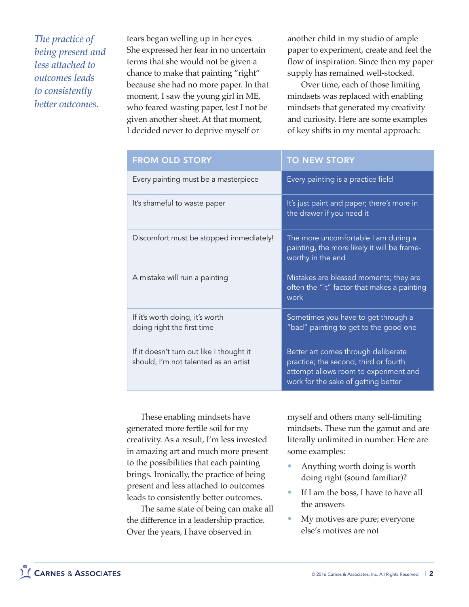*The practice of being present and less attached to outcomes leads to consistently better outcomes.*

tears began welling up in her eyes. She expressed her fear in no uncertain terms that she would not be given a chance to make that painting "right" because she had no more paper. In that moment, I saw the young girl in ME, who feared wasting paper, lest I not be given another sheet. At that moment, I decided never to deprive myself or

another child in my studio of ample paper to experiment, create and feel the flow of inspiration. Since then my paper supply has remained well-stocked.

Over time, each of those limiting mindsets was replaced with enabling mindsets that generated my creativity and curiosity. Here are some examples of key shifts in my mental approach:

| <b>FROM OLD STORY</b>                                                             | <b>TO NEW STORY</b>                                                                                                                                          |
|-----------------------------------------------------------------------------------|--------------------------------------------------------------------------------------------------------------------------------------------------------------|
| Every painting must be a masterpiece                                              | Every painting is a practice field                                                                                                                           |
| It's shameful to waste paper                                                      | It's just paint and paper; there's more in<br>the drawer if you need it                                                                                      |
| Discomfort must be stopped immediately!                                           | The more uncomfortable I am during a<br>painting, the more likely it will be frame-<br>worthy in the end                                                     |
| A mistake will ruin a painting                                                    | Mistakes are blessed moments; they are<br>often the "it" factor that makes a painting<br>work                                                                |
| If it's worth doing, it's worth<br>doing right the first time                     | Sometimes you have to get through a<br>"bad" painting to get to the good one                                                                                 |
| If it doesn't turn out like I thought it<br>should, I'm not talented as an artist | Better art comes through deliberate<br>practice; the second, third or fourth<br>attempt allows room to experiment and<br>work for the sake of getting better |

These enabling mindsets have generated more fertile soil for my creativity. As a result, I'm less invested in amazing art and much more present to the possibilities that each painting brings. Ironically, the practice of being present and less attached to outcomes leads to consistently better outcomes.

The same state of being can make all the difference in a leadership practice. Over the years, I have observed in

myself and others many self-limiting mindsets. These run the gamut and are literally unlimited in number. Here are some examples:

- Anything worth doing is worth doing right (sound familiar)?
- If I am the boss, I have to have all the answers
- My motives are pure; everyone else's motives are not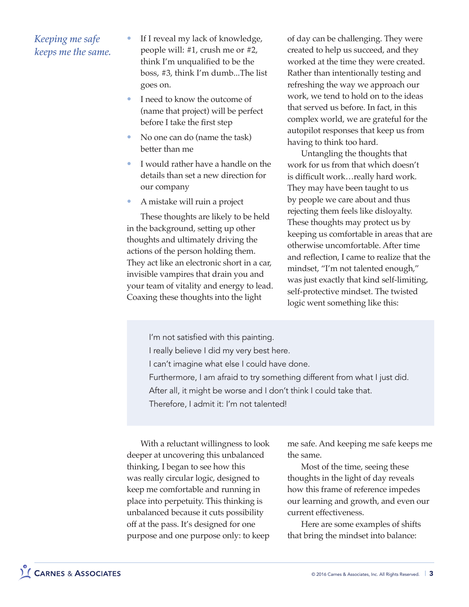## *Keeping me safe keeps me the same.*

- If I reveal my lack of knowledge, people will: #1, crush me or #2, think I'm unqualified to be the boss, #3, think I'm dumb...The list goes on.
- I need to know the outcome of (name that project) will be perfect before I take the first step
- No one can do (name the task) better than me
- I would rather have a handle on the details than set a new direction for our company
- A mistake will ruin a project

These thoughts are likely to be held in the background, setting up other thoughts and ultimately driving the actions of the person holding them. They act like an electronic short in a car, invisible vampires that drain you and your team of vitality and energy to lead. Coaxing these thoughts into the light

of day can be challenging. They were created to help us succeed, and they worked at the time they were created. Rather than intentionally testing and refreshing the way we approach our work, we tend to hold on to the ideas that served us before. In fact, in this complex world, we are grateful for the autopilot responses that keep us from having to think too hard.

Untangling the thoughts that work for us from that which doesn't is difficult work…really hard work. They may have been taught to us by people we care about and thus rejecting them feels like disloyalty. These thoughts may protect us by keeping us comfortable in areas that are otherwise uncomfortable. After time and reflection, I came to realize that the mindset, "I'm not talented enough," was just exactly that kind self-limiting, self-protective mindset. The twisted logic went something like this:

I'm not satisfied with this painting.

- I really believe I did my very best here.
- I can't imagine what else I could have done.
- Furthermore, I am afraid to try something different from what I just did.
- After all, it might be worse and I don't think I could take that.

Therefore, I admit it: I'm not talented!

With a reluctant willingness to look deeper at uncovering this unbalanced thinking, I began to see how this was really circular logic, designed to keep me comfortable and running in place into perpetuity. This thinking is unbalanced because it cuts possibility off at the pass. It's designed for one purpose and one purpose only: to keep

me safe. And keeping me safe keeps me the same.

Most of the time, seeing these thoughts in the light of day reveals how this frame of reference impedes our learning and growth, and even our current effectiveness.

Here are some examples of shifts that bring the mindset into balance: